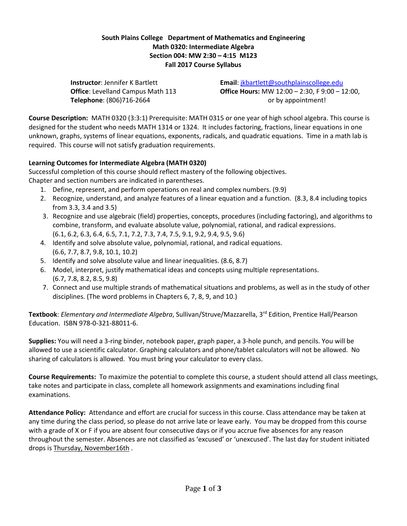## **South Plains College Department of Mathematics and Engineering Math 0320: Intermediate Algebra Section 004: MW 2:30 – 4:15 M123 Fall 2017 Course Syllabus**

**Telephone**: (806)716-2664 **by appointment!** 

**Instructor**: Jennifer K Bartlett **Email**: [jkbartlett@southplainscollege.edu](mailto:jkbartlett@southplainscollege.edu) **Office**: Levelland Campus Math 113 **Office Hours:** MW 12:00 – 2:30, F 9:00 – 12:00,

**Course Description:** MATH 0320 (3:3:1) Prerequisite: MATH 0315 or one year of high school algebra. This course is designed for the student who needs MATH 1314 or 1324. It includes factoring, fractions, linear equations in one unknown, graphs, systems of linear equations, exponents, radicals, and quadratic equations. Time in a math lab is required. This course will not satisfy graduation requirements.

## **Learning Outcomes for Intermediate Algebra (MATH 0320)**

Successful completion of this course should reflect mastery of the following objectives. Chapter and section numbers are indicated in parentheses.

- 1. Define, represent, and perform operations on real and complex numbers. (9.9)
- 2. Recognize, understand, and analyze features of a linear equation and a function. (8.3, 8.4 including topics from 3.3, 3.4 and 3.5)
- 3. Recognize and use algebraic (field) properties, concepts, procedures (including factoring), and algorithms to combine, transform, and evaluate absolute value, polynomial, rational, and radical expressions. (6.1, 6.2, 6.3, 6.4, 6.5, 7.1, 7.2, 7.3, 7.4, 7.5, 9.1, 9.2, 9.4, 9.5, 9.6)
- 4. Identify and solve absolute value, polynomial, rational, and radical equations. (6.6, 7.7, 8.7, 9.8, 10.1, 10.2)
- 5. Identify and solve absolute value and linear inequalities. (8.6, 8.7)
- 6. Model, interpret, justify mathematical ideas and concepts using multiple representations. (6.7, 7.8, 8.2, 8.5, 9.8)
- 7. Connect and use multiple strands of mathematical situations and problems, as well as in the study of other disciplines. (The word problems in Chapters 6, 7, 8, 9, and 10.)

Textbook: *Elementary and Intermediate Algebra*, Sullivan/Struve/Mazzarella, 3<sup>rd</sup> Edition, Prentice Hall/Pearson Education. ISBN 978-0-321-88011-6.

**Supplies:** You will need a 3-ring binder, notebook paper, graph paper, a 3-hole punch, and pencils. You will be allowed to use a scientific calculator. Graphing calculators and phone/tablet calculators will not be allowed. No sharing of calculators is allowed. You must bring your calculator to every class.

**Course Requirements:** To maximize the potential to complete this course, a student should attend all class meetings, take notes and participate in class, complete all homework assignments and examinations including final examinations.

**Attendance Policy:** Attendance and effort are crucial for success in this course. Class attendance may be taken at any time during the class period, so please do not arrive late or leave early. You may be dropped from this course with a grade of X or F if you are absent four consecutive days or if you accrue five absences for any reason throughout the semester. Absences are not classified as 'excused' or 'unexcused'. The last day for student initiated drops is Thursday, November16th .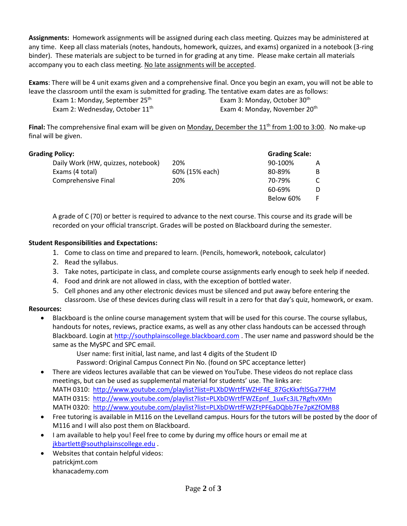**Assignments:** Homework assignments will be assigned during each class meeting. Quizzes may be administered at any time. Keep all class materials (notes, handouts, homework, quizzes, and exams) organized in a notebook (3-ring binder). These materials are subject to be turned in for grading at any time. Please make certain all materials accompany you to each class meeting. No late assignments will be accepted.

**Exams**: There will be 4 unit exams given and a comprehensive final. Once you begin an exam, you will not be able to leave the classroom until the exam is submitted for grading. The tentative exam dates are as follows:

Exam 1: Monday, September 25<sup>th</sup> Exam 3: Monday, October 30<sup>th</sup> Exam 2: Wednesday, October 11<sup>th</sup> Exam 4: Monday, November 20<sup>th</sup>

**Final:** The comprehensive final exam will be given on Monday, December the 11<sup>th</sup> from 1:00 to 3:00. No make-up final will be given.

| <b>Grading Policy:</b> |  |
|------------------------|--|
|------------------------|--|

| <b>Grading Policy:</b>             |                | <b>Grading Scale:</b> |   |
|------------------------------------|----------------|-----------------------|---|
| Daily Work (HW, quizzes, notebook) | 20%            | 90-100%               | A |
| Exams (4 total)                    | 60% (15% each) | 80-89%                | B |
| Comprehensive Final                | 20%            | 70-79%                | C |
|                                    |                | 60-69%                | D |
|                                    |                | Below 60%             | F |

A grade of C (70) or better is required to advance to the next course. This course and its grade will be recorded on your official transcript. Grades will be posted on Blackboard during the semester.

## **Student Responsibilities and Expectations:**

- 1. Come to class on time and prepared to learn. (Pencils, homework, notebook, calculator)
- 2. Read the syllabus.
- 3. Take notes, participate in class, and complete course assignments early enough to seek help if needed.
- 4. Food and drink are not allowed in class, with the exception of bottled water.
- 5. Cell phones and any other electronic devices must be silenced and put away before entering the classroom. Use of these devices during class will result in a zero for that day's quiz, homework, or exam.

## **Resources:**

• Blackboard is the online course management system that will be used for this course. The course syllabus, handouts for notes, reviews, practice exams, as well as any other class handouts can be accessed through Blackboard. Login at [http://southplainscollege.blackboard.com](http://southplainscollege.blackboard.com/) . The user name and password should be the same as the MySPC and SPC email.

User name: first initial, last name, and last 4 digits of the Student ID

Password: Original Campus Connect Pin No. (found on SPC acceptance letter)

- There are videos lectures available that can be viewed on YouTube. These videos do not replace class meetings, but can be used as supplemental material for students' use. The links are: MATH 0310: [http://www.youtube.com/playlist?list=PLXbDWrtfFWZHF4E\\_87GcKkxftlSGa77HM](http://www.youtube.com/playlist?list=PLXbDWrtfFWZHF4E_87GcKkxftlSGa77HM) MATH 0315: [http://www.youtube.com/playlist?list=PLXbDWrtfFWZEpnf\\_1uxFc3JL7RgftvXMn](http://www.youtube.com/playlist?list=PLXbDWrtfFWZEpnf_1uxFc3JL7RgftvXMn) MATH 0320: <http://www.youtube.com/playlist?list=PLXbDWrtfFWZFtPF6aDQbb7Fe7pKZfOMB8>
- Free tutoring is available in M116 on the Levelland campus. Hours for the tutors will be posted by the door of M116 and I will also post them on Blackboard.
- I am available to help you! Feel free to come by during my office hours or email me at [jkbartlett@southplainscollege.edu](mailto:jkbartlett@southplainscollege.edu).
- Websites that contain helpful videos: patrickjmt.com khanacademy.com